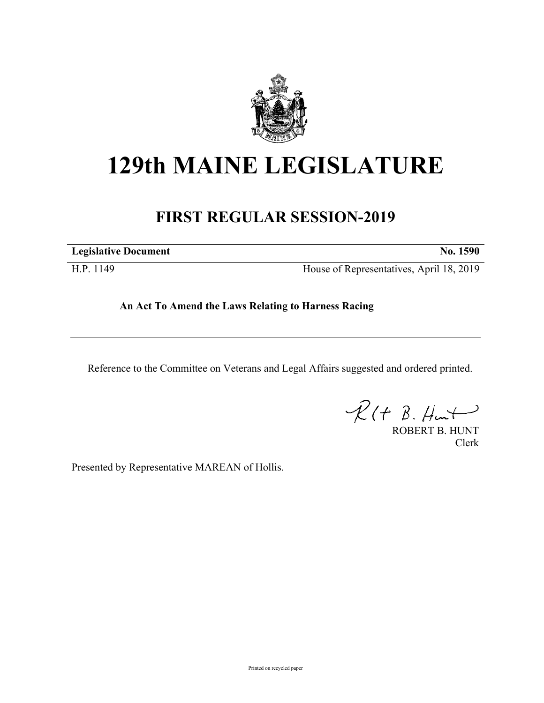

## **129th MAINE LEGISLATURE**

## **FIRST REGULAR SESSION-2019**

**Legislative Document No. 1590**

H.P. 1149 House of Representatives, April 18, 2019

## **An Act To Amend the Laws Relating to Harness Racing**

Reference to the Committee on Veterans and Legal Affairs suggested and ordered printed.

 $\mathcal{R}(t \; \mathcal{B}, \mathcal{H}_{\mathsf{int}})$ 

ROBERT B. HUNT Clerk

Presented by Representative MAREAN of Hollis.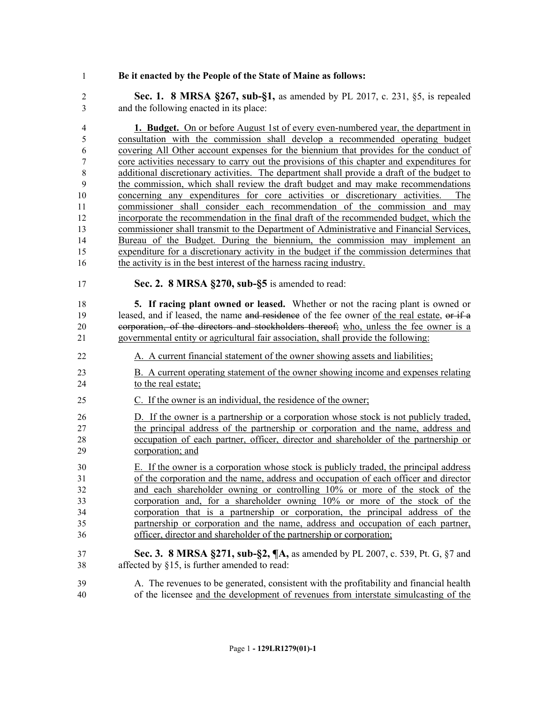## **Be it enacted by the People of the State of Maine as follows:**

 **Sec. 1. 8 MRSA §267, sub-§1,** as amended by PL 2017, c. 231, §5, is repealed and the following enacted in its place:

 **1. Budget.** On or before August 1st of every even-numbered year, the department in consultation with the commission shall develop a recommended operating budget covering All Other account expenses for the biennium that provides for the conduct of core activities necessary to carry out the provisions of this chapter and expenditures for 8 additional discretionary activities. The department shall provide a draft of the budget to the commission, which shall review the draft budget and may make recommendations concerning any expenditures for core activities or discretionary activities. The 11 commissioner shall consider each recommendation of the commission and may incorporate the recommendation in the final draft of the recommended budget, which the commissioner shall transmit to the Department of Administrative and Financial Services, Bureau of the Budget. During the biennium, the commission may implement an expenditure for a discretionary activity in the budget if the commission determines that the activity is in the best interest of the harness racing industry.

**Sec. 2. 8 MRSA §270, sub-§5** is amended to read:

 **5. If racing plant owned or leased.** Whether or not the racing plant is owned or 19 leased, and if leased, the name and residence of the fee owner of the real estate, or if a corporation, of the directors and stockholders thereof; who, unless the fee owner is a governmental entity or agricultural fair association, shall provide the following:

- A. A current financial statement of the owner showing assets and liabilities;
- B. A current operating statement of the owner showing income and expenses relating to the real estate;
- C. If the owner is an individual, the residence of the owner;

 D. If the owner is a partnership or a corporation whose stock is not publicly traded, the principal address of the partnership or corporation and the name, address and occupation of each partner, officer, director and shareholder of the partnership or corporation; and

 E. If the owner is a corporation whose stock is publicly traded, the principal address of the corporation and the name, address and occupation of each officer and director and each shareholder owning or controlling 10% or more of the stock of the corporation and, for a shareholder owning 10% or more of the stock of the corporation that is a partnership or corporation, the principal address of the partnership or corporation and the name, address and occupation of each partner, officer, director and shareholder of the partnership or corporation;

- **Sec. 3. 8 MRSA §271, sub-§2, ¶A,** as amended by PL 2007, c. 539, Pt. G, §7 and affected by §15, is further amended to read:
- A. The revenues to be generated, consistent with the profitability and financial health of the licensee and the development of revenues from interstate simulcasting of the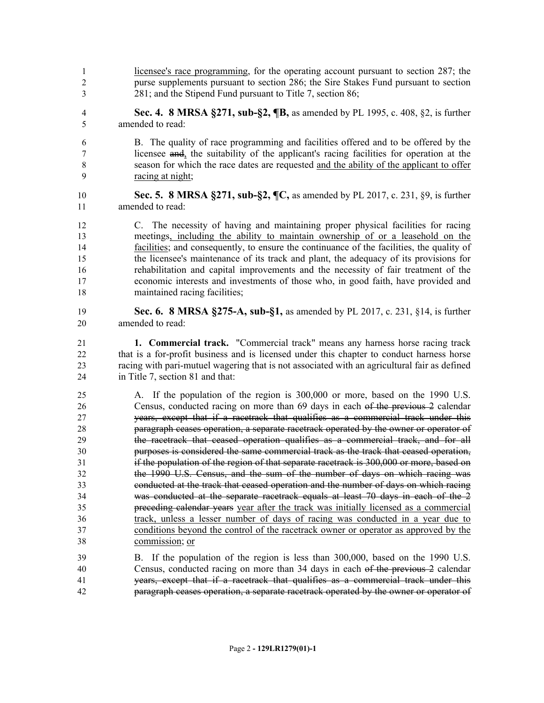- licensee's race programming, for the operating account pursuant to section 287; the purse supplements pursuant to section 286; the Sire Stakes Fund pursuant to section 281; and the Stipend Fund pursuant to Title 7, section 86;
- **Sec. 4. 8 MRSA §271, sub-§2, ¶B,** as amended by PL 1995, c. 408, §2, is further amended to read:
- B. The quality of race programming and facilities offered and to be offered by the licensee and, the suitability of the applicant's racing facilities for operation at the season for which the race dates are requested and the ability of the applicant to offer racing at night;
- **Sec. 5. 8 MRSA §271, sub-§2, ¶C,** as amended by PL 2017, c. 231, §9, is further amended to read:
- C. The necessity of having and maintaining proper physical facilities for racing meetings, including the ability to maintain ownership of or a leasehold on the facilities; and consequently, to ensure the continuance of the facilities, the quality of the licensee's maintenance of its track and plant, the adequacy of its provisions for rehabilitation and capital improvements and the necessity of fair treatment of the economic interests and investments of those who, in good faith, have provided and maintained racing facilities;
- **Sec. 6. 8 MRSA §275-A, sub-§1,** as amended by PL 2017, c. 231, §14, is further amended to read:
- **1. Commercial track.** "Commercial track" means any harness horse racing track that is a for-profit business and is licensed under this chapter to conduct harness horse racing with pari-mutuel wagering that is not associated with an agricultural fair as defined in Title 7, section 81 and that:
- A. If the population of the region is 300,000 or more, based on the 1990 U.S. Census, conducted racing on more than 69 days in each of the previous 2 calendar years, except that if a racetrack that qualifies as a commercial track under this paragraph ceases operation, a separate racetrack operated by the owner or operator of the racetrack that ceased operation qualifies as a commercial track, and for all purposes is considered the same commercial track as the track that ceased operation, if the population of the region of that separate racetrack is 300,000 or more, based on the 1990 U.S. Census, and the sum of the number of days on which racing was conducted at the track that ceased operation and the number of days on which racing was conducted at the separate racetrack equals at least 70 days in each of the 2 preceding calendar years year after the track was initially licensed as a commercial track, unless a lesser number of days of racing was conducted in a year due to conditions beyond the control of the racetrack owner or operator as approved by the commission; or
- B. If the population of the region is less than 300,000, based on the 1990 U.S. Census, conducted racing on more than 34 days in each of the previous 2 calendar years, except that if a racetrack that qualifies as a commercial track under this paragraph ceases operation, a separate racetrack operated by the owner or operator of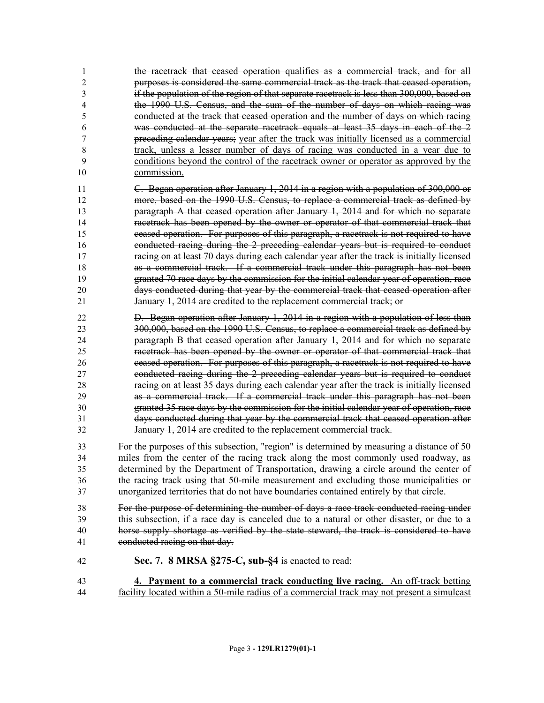the racetrack that ceased operation qualifies as a commercial track, and for all purposes is considered the same commercial track as the track that ceased operation, if the population of the region of that separate racetrack is less than 300,000, based on the 1990 U.S. Census, and the sum of the number of days on which racing was conducted at the track that ceased operation and the number of days on which racing was conducted at the separate racetrack equals at least 35 days in each of the 2 preceding calendar years; year after the track was initially licensed as a commercial track, unless a lesser number of days of racing was conducted in a year due to conditions beyond the control of the racetrack owner or operator as approved by the commission.

 C. Began operation after January 1, 2014 in a region with a population of 300,000 or more, based on the 1990 U.S. Census, to replace a commercial track as defined by paragraph A that ceased operation after January 1, 2014 and for which no separate racetrack has been opened by the owner or operator of that commercial track that ceased operation. For purposes of this paragraph, a racetrack is not required to have conducted racing during the 2 preceding calendar years but is required to conduct racing on at least 70 days during each calendar year after the track is initially licensed as a commercial track. If a commercial track under this paragraph has not been granted 70 race days by the commission for the initial calendar year of operation, race days conducted during that year by the commercial track that ceased operation after 21 January 1, 2014 are credited to the replacement commercial track; or

 D. Began operation after January 1, 2014 in a region with a population of less than 300,000, based on the 1990 U.S. Census, to replace a commercial track as defined by paragraph B that ceased operation after January 1, 2014 and for which no separate racetrack has been opened by the owner or operator of that commercial track that ceased operation. For purposes of this paragraph, a racetrack is not required to have conducted racing during the 2 preceding calendar years but is required to conduct racing on at least 35 days during each calendar year after the track is initially licensed as a commercial track. If a commercial track under this paragraph has not been granted 35 race days by the commission for the initial calendar year of operation, race days conducted during that year by the commercial track that ceased operation after January 1, 2014 are credited to the replacement commercial track.

 For the purposes of this subsection, "region" is determined by measuring a distance of 50 miles from the center of the racing track along the most commonly used roadway, as determined by the Department of Transportation, drawing a circle around the center of the racing track using that 50-mile measurement and excluding those municipalities or unorganized territories that do not have boundaries contained entirely by that circle.

 For the purpose of determining the number of days a race track conducted racing under this subsection, if a race day is canceled due to a natural or other disaster, or due to a horse supply shortage as verified by the state steward, the track is considered to have conducted racing on that day.

- **Sec. 7. 8 MRSA §275-C, sub-§4** is enacted to read:
- **4. Payment to a commercial track conducting live racing.** An off-track betting facility located within a 50-mile radius of a commercial track may not present a simulcast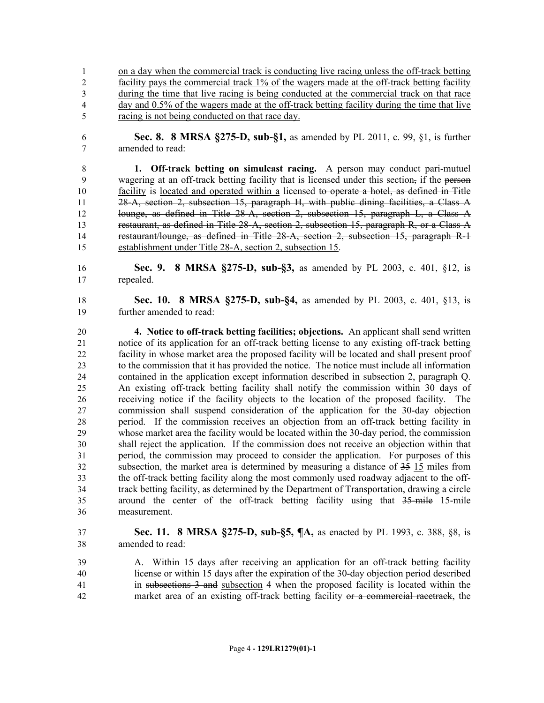on a day when the commercial track is conducting live racing unless the off-track betting facility pays the commercial track 1% of the wagers made at the off-track betting facility during the time that live racing is being conducted at the commercial track on that race day and 0.5% of the wagers made at the off-track betting facility during the time that live racing is not being conducted on that race day.

 **Sec. 8. 8 MRSA §275-D, sub-§1,** as amended by PL 2011, c. 99, §1, is further amended to read:

 **1. Off-track betting on simulcast racing.** A person may conduct pari-mutuel 9 wagering at an off-track betting facility that is licensed under this section, if the person facility is located and operated within a licensed to operate a hotel, as defined in Title 28-A, section 2, subsection 15, paragraph H, with public dining facilities, a Class A lounge, as defined in Title 28-A, section 2, subsection 15, paragraph L, a Class A 13 restaurant, as defined in Title 28-A, section 2, subsection 15, paragraph R, or a Class A restaurant/lounge, as defined in Title 28-A, section 2, subsection 15, paragraph R-1 establishment under Title 28-A, section 2, subsection 15.

 **Sec. 9. 8 MRSA §275-D, sub-§3,** as amended by PL 2003, c. 401, §12, is repealed.

 **Sec. 10. 8 MRSA §275-D, sub-§4,** as amended by PL 2003, c. 401, §13, is further amended to read:

 **4. Notice to off-track betting facilities; objections.** An applicant shall send written notice of its application for an off-track betting license to any existing off-track betting facility in whose market area the proposed facility will be located and shall present proof to the commission that it has provided the notice. The notice must include all information contained in the application except information described in subsection 2, paragraph Q. An existing off-track betting facility shall notify the commission within 30 days of receiving notice if the facility objects to the location of the proposed facility. The commission shall suspend consideration of the application for the 30-day objection period. If the commission receives an objection from an off-track betting facility in whose market area the facility would be located within the 30-day period, the commission shall reject the application. If the commission does not receive an objection within that period, the commission may proceed to consider the application. For purposes of this subsection, the market area is determined by measuring a distance of 35 15 miles from the off-track betting facility along the most commonly used roadway adjacent to the off- track betting facility, as determined by the Department of Transportation, drawing a circle around the center of the off-track betting facility using that 35-mile 15-mile measurement.

- **Sec. 11. 8 MRSA §275-D, sub-§5, ¶A,** as enacted by PL 1993, c. 388, §8, is amended to read:
- A. Within 15 days after receiving an application for an off-track betting facility license or within 15 days after the expiration of the 30-day objection period described in subsections 3 and subsection 4 when the proposed facility is located within the market area of an existing off-track betting facility or a commercial racetrack, the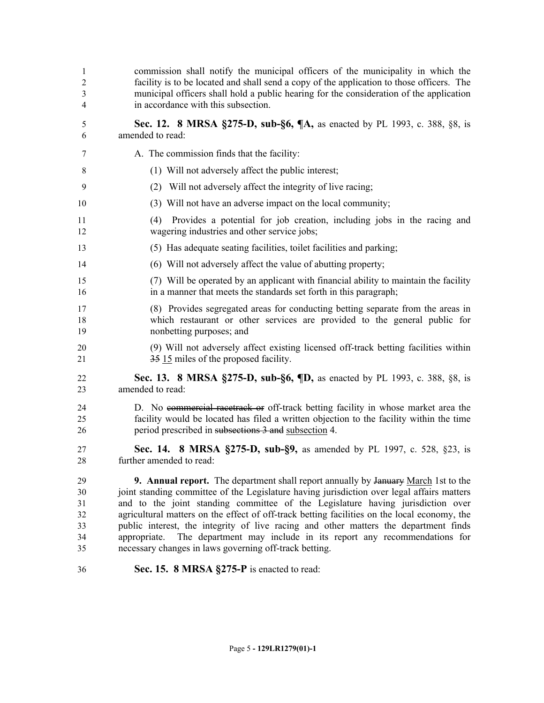| 1<br>$\overline{2}$<br>3<br>4          | commission shall notify the municipal officers of the municipality in which the<br>facility is to be located and shall send a copy of the application to those officers. The<br>municipal officers shall hold a public hearing for the consideration of the application<br>in accordance with this subsection.                                                                                                                                                                                                                                                                                                   |
|----------------------------------------|------------------------------------------------------------------------------------------------------------------------------------------------------------------------------------------------------------------------------------------------------------------------------------------------------------------------------------------------------------------------------------------------------------------------------------------------------------------------------------------------------------------------------------------------------------------------------------------------------------------|
| 5<br>6                                 | Sec. 12. 8 MRSA §275-D, sub-§6, ¶A, as enacted by PL 1993, c. 388, §8, is<br>amended to read:                                                                                                                                                                                                                                                                                                                                                                                                                                                                                                                    |
| 7                                      | A. The commission finds that the facility:                                                                                                                                                                                                                                                                                                                                                                                                                                                                                                                                                                       |
| 8                                      | (1) Will not adversely affect the public interest;                                                                                                                                                                                                                                                                                                                                                                                                                                                                                                                                                               |
| 9                                      | Will not adversely affect the integrity of live racing;<br>(2)                                                                                                                                                                                                                                                                                                                                                                                                                                                                                                                                                   |
| 10                                     | (3) Will not have an adverse impact on the local community;                                                                                                                                                                                                                                                                                                                                                                                                                                                                                                                                                      |
| 11<br>12                               | Provides a potential for job creation, including jobs in the racing and<br>(4)<br>wagering industries and other service jobs;                                                                                                                                                                                                                                                                                                                                                                                                                                                                                    |
| 13                                     | (5) Has adequate seating facilities, toilet facilities and parking;                                                                                                                                                                                                                                                                                                                                                                                                                                                                                                                                              |
| 14                                     | (6) Will not adversely affect the value of abutting property;                                                                                                                                                                                                                                                                                                                                                                                                                                                                                                                                                    |
| 15<br>16                               | (7) Will be operated by an applicant with financial ability to maintain the facility<br>in a manner that meets the standards set forth in this paragraph;                                                                                                                                                                                                                                                                                                                                                                                                                                                        |
| 17<br>18<br>19                         | (8) Provides segregated areas for conducting betting separate from the areas in<br>which restaurant or other services are provided to the general public for<br>nonbetting purposes; and                                                                                                                                                                                                                                                                                                                                                                                                                         |
| 20<br>21                               | (9) Will not adversely affect existing licensed off-track betting facilities within<br>35 15 miles of the proposed facility.                                                                                                                                                                                                                                                                                                                                                                                                                                                                                     |
| 22<br>23                               | <b>Sec. 13. 8 MRSA §275-D, sub-§6, ¶D, as enacted by PL 1993, c. 388, §8, is</b><br>amended to read:                                                                                                                                                                                                                                                                                                                                                                                                                                                                                                             |
| 24<br>25<br>26                         | D. No e <del>ommercial racetrack or</del> off-track betting facility in whose market area the<br>facility would be located has filed a written objection to the facility within the time<br>period prescribed in subsections 3 and subsection 4.                                                                                                                                                                                                                                                                                                                                                                 |
| 27<br>28                               | Sec. 14. 8 MRSA §275-D, sub-§9, as amended by PL 1997, c. 528, §23, is<br>further amended to read:                                                                                                                                                                                                                                                                                                                                                                                                                                                                                                               |
| 29<br>30<br>31<br>32<br>33<br>34<br>35 | <b>9. Annual report.</b> The department shall report annually by January March 1st to the<br>joint standing committee of the Legislature having jurisdiction over legal affairs matters<br>and to the joint standing committee of the Legislature having jurisdiction over<br>agricultural matters on the effect of off-track betting facilities on the local economy, the<br>public interest, the integrity of live racing and other matters the department finds<br>The department may include in its report any recommendations for<br>appropriate.<br>necessary changes in laws governing off-track betting. |
| 36                                     | Sec. 15. 8 MRSA §275-P is enacted to read:                                                                                                                                                                                                                                                                                                                                                                                                                                                                                                                                                                       |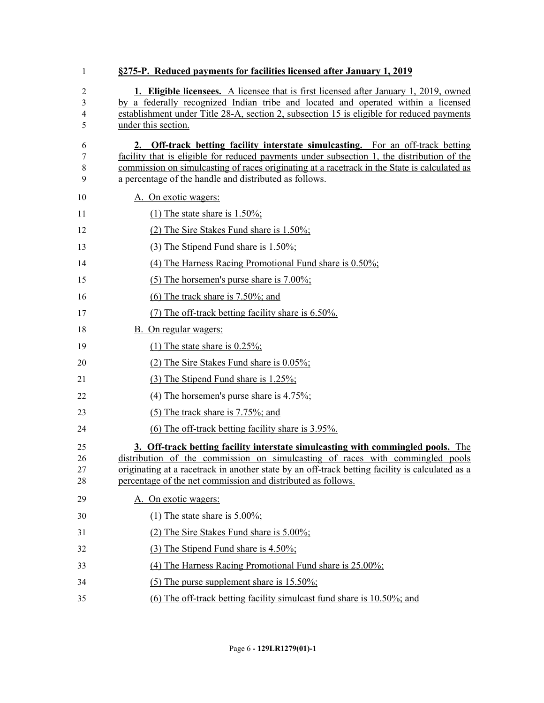| 1                    | §275-P. Reduced payments for facilities licensed after January 1, 2019                                                                                                                                                                                                                                                                  |
|----------------------|-----------------------------------------------------------------------------------------------------------------------------------------------------------------------------------------------------------------------------------------------------------------------------------------------------------------------------------------|
| 2<br>3<br>4<br>5     | <b>1. Eligible licensees.</b> A licensee that is first licensed after January 1, 2019, owned<br>by a federally recognized Indian tribe and located and operated within a licensed<br>establishment under Title 28-A, section 2, subsection 15 is eligible for reduced payments<br>under this section.                                   |
| 6<br>7<br>8<br>9     | 2. Off-track betting facility interstate simulcasting. For an off-track betting<br>facility that is eligible for reduced payments under subsection 1, the distribution of the<br>commission on simulcasting of races originating at a racetrack in the State is calculated as<br>a percentage of the handle and distributed as follows. |
| 10                   | A. On exotic wagers:                                                                                                                                                                                                                                                                                                                    |
| 11                   | (1) The state share is $1.50\%$ ;                                                                                                                                                                                                                                                                                                       |
| 12                   | $(2)$ The Sire Stakes Fund share is 1.50%;                                                                                                                                                                                                                                                                                              |
| 13                   | $(3)$ The Stipend Fund share is 1.50%;                                                                                                                                                                                                                                                                                                  |
| 14                   | (4) The Harness Racing Promotional Fund share is $0.50\%$ ;                                                                                                                                                                                                                                                                             |
| 15                   | (5) The horsemen's purse share is $7.00\%$ ;                                                                                                                                                                                                                                                                                            |
| 16                   | $(6)$ The track share is 7.50%; and                                                                                                                                                                                                                                                                                                     |
| 17                   | (7) The off-track betting facility share is 6.50%.                                                                                                                                                                                                                                                                                      |
| 18                   | B. On regular wagers:                                                                                                                                                                                                                                                                                                                   |
| 19                   | (1) The state share is $0.25\%$ ;                                                                                                                                                                                                                                                                                                       |
| 20                   | (2) The Sire Stakes Fund share is $0.05\%$ ;                                                                                                                                                                                                                                                                                            |
| 21                   | (3) The Stipend Fund share is 1.25%;                                                                                                                                                                                                                                                                                                    |
| 22                   | (4) The horsemen's purse share is $4.75\%$ ;                                                                                                                                                                                                                                                                                            |
| 23                   | $(5)$ The track share is 7.75%; and                                                                                                                                                                                                                                                                                                     |
| 24                   | (6) The off-track betting facility share is 3.95%.                                                                                                                                                                                                                                                                                      |
| 25<br>26<br>27<br>28 | 3. Off-track betting facility interstate simulcasting with commingled pools. The<br>distribution of the commission on simulcasting of races with commingled pools<br>originating at a racetrack in another state by an off-track betting facility is calculated as a<br>percentage of the net commission and distributed as follows.    |
| 29                   | A. On exotic wagers:                                                                                                                                                                                                                                                                                                                    |
| 30                   | (1) The state share is $5.00\%$ ;                                                                                                                                                                                                                                                                                                       |
| 31                   | (2) The Sire Stakes Fund share is $5.00\%$ ;                                                                                                                                                                                                                                                                                            |
| 32                   | $(3)$ The Stipend Fund share is 4.50%;                                                                                                                                                                                                                                                                                                  |
| 33                   | (4) The Harness Racing Promotional Fund share is 25.00%;                                                                                                                                                                                                                                                                                |
| 34                   | (5) The purse supplement share is $15.50\%$ ;                                                                                                                                                                                                                                                                                           |
| 35                   | (6) The off-track betting facility simulcast fund share is 10.50%; and                                                                                                                                                                                                                                                                  |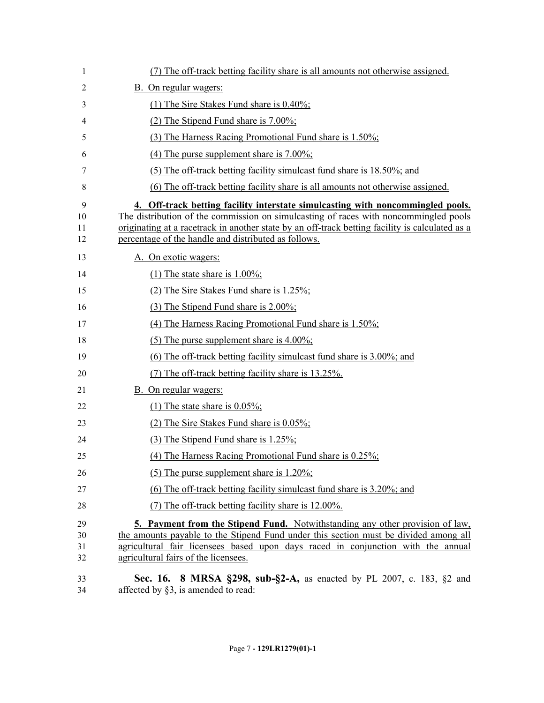| 1                    | (7) The off-track betting facility share is all amounts not otherwise assigned.                                                                                                                                                                                                                                                    |
|----------------------|------------------------------------------------------------------------------------------------------------------------------------------------------------------------------------------------------------------------------------------------------------------------------------------------------------------------------------|
| 2                    | B. On regular wagers:                                                                                                                                                                                                                                                                                                              |
| 3                    | (1) The Sire Stakes Fund share is $0.40\%$ ;                                                                                                                                                                                                                                                                                       |
| 4                    | (2) The Stipend Fund share is $7.00\%$ ;                                                                                                                                                                                                                                                                                           |
| 5                    | (3) The Harness Racing Promotional Fund share is 1.50%;                                                                                                                                                                                                                                                                            |
| 6                    | (4) The purse supplement share is $7.00\%$ ;                                                                                                                                                                                                                                                                                       |
| 7                    | (5) The off-track betting facility simulcast fund share is 18.50%; and                                                                                                                                                                                                                                                             |
| 8                    | (6) The off-track betting facility share is all amounts not otherwise assigned.                                                                                                                                                                                                                                                    |
| 9<br>10<br>11<br>12  | 4. Off-track betting facility interstate simulcasting with noncommingled pools.<br>The distribution of the commission on simulcasting of races with noncommingled pools<br>originating at a racetrack in another state by an off-track betting facility is calculated as a<br>percentage of the handle and distributed as follows. |
| 13                   | A. On exotic wagers:                                                                                                                                                                                                                                                                                                               |
| 14                   | (1) The state share is $1.00\%$ ;                                                                                                                                                                                                                                                                                                  |
| 15                   | (2) The Sire Stakes Fund share is $1.25\%$ ;                                                                                                                                                                                                                                                                                       |
| 16                   | (3) The Stipend Fund share is 2.00%;                                                                                                                                                                                                                                                                                               |
| 17                   | (4) The Harness Racing Promotional Fund share is 1.50%;                                                                                                                                                                                                                                                                            |
| 18                   | (5) The purse supplement share is $4.00\%$ ;                                                                                                                                                                                                                                                                                       |
| 19                   | $(6)$ The off-track betting facility simulcast fund share is 3.00%; and                                                                                                                                                                                                                                                            |
| 20                   | (7) The off-track betting facility share is 13.25%.                                                                                                                                                                                                                                                                                |
| 21                   | <b>B.</b> On regular wagers:                                                                                                                                                                                                                                                                                                       |
| 22                   | (1) The state share is $0.05\%$ ;                                                                                                                                                                                                                                                                                                  |
| 23                   | (2) The Sire Stakes Fund share is $0.05\%$ ;                                                                                                                                                                                                                                                                                       |
| 24                   | $(3)$ The Stipend Fund share is 1.25%;                                                                                                                                                                                                                                                                                             |
| 25                   | (4) The Harness Racing Promotional Fund share is $0.25\%$ ;                                                                                                                                                                                                                                                                        |
| 26                   | (5) The purse supplement share is $1.20\%$ ;                                                                                                                                                                                                                                                                                       |
| 27                   | $(6)$ The off-track betting facility simulcast fund share is 3.20%; and                                                                                                                                                                                                                                                            |
| 28                   | (7) The off-track betting facility share is 12.00%.                                                                                                                                                                                                                                                                                |
| 29<br>30<br>31<br>32 | <b>5. Payment from the Stipend Fund.</b> Notwithstanding any other provision of law,<br>the amounts payable to the Stipend Fund under this section must be divided among all<br>agricultural fair licensees based upon days raced in conjunction with the annual<br>agricultural fairs of the licensees.                           |
| 33                   | <b>Sec. 16. 8 MRSA §298, sub-§2-A, as enacted by PL 2007, c. 183, §2 and</b>                                                                                                                                                                                                                                                       |

34 affected by §3, is amended to read: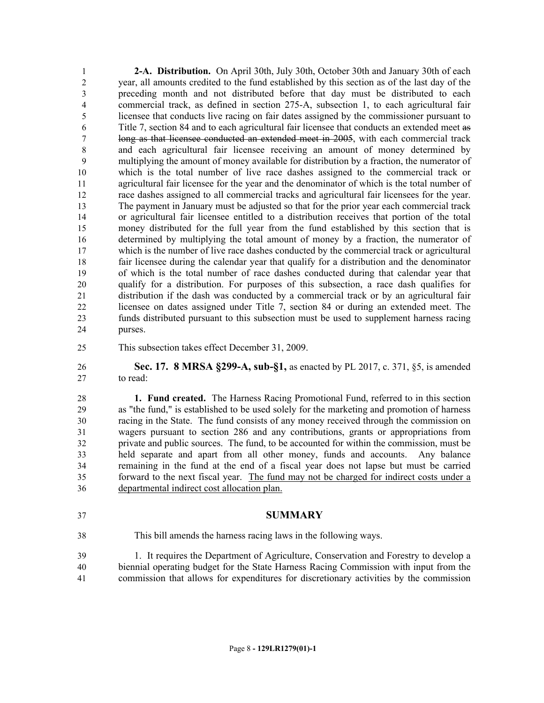**2-A. Distribution.** On April 30th, July 30th, October 30th and January 30th of each year, all amounts credited to the fund established by this section as of the last day of the preceding month and not distributed before that day must be distributed to each commercial track, as defined in section 275-A, subsection 1, to each agricultural fair licensee that conducts live racing on fair dates assigned by the commissioner pursuant to Title 7, section 84 and to each agricultural fair licensee that conducts an extended meet as long as that licensee conducted an extended meet in 2005, with each commercial track and each agricultural fair licensee receiving an amount of money determined by multiplying the amount of money available for distribution by a fraction, the numerator of which is the total number of live race dashes assigned to the commercial track or agricultural fair licensee for the year and the denominator of which is the total number of race dashes assigned to all commercial tracks and agricultural fair licensees for the year. The payment in January must be adjusted so that for the prior year each commercial track or agricultural fair licensee entitled to a distribution receives that portion of the total money distributed for the full year from the fund established by this section that is determined by multiplying the total amount of money by a fraction, the numerator of which is the number of live race dashes conducted by the commercial track or agricultural fair licensee during the calendar year that qualify for a distribution and the denominator of which is the total number of race dashes conducted during that calendar year that qualify for a distribution. For purposes of this subsection, a race dash qualifies for distribution if the dash was conducted by a commercial track or by an agricultural fair licensee on dates assigned under Title 7, section 84 or during an extended meet. The funds distributed pursuant to this subsection must be used to supplement harness racing purses.

This subsection takes effect December 31, 2009.

 **Sec. 17. 8 MRSA §299-A, sub-§1,** as enacted by PL 2017, c. 371, §5, is amended to read:

 **1. Fund created.** The Harness Racing Promotional Fund, referred to in this section as "the fund," is established to be used solely for the marketing and promotion of harness racing in the State. The fund consists of any money received through the commission on wagers pursuant to section 286 and any contributions, grants or appropriations from private and public sources. The fund, to be accounted for within the commission, must be held separate and apart from all other money, funds and accounts. Any balance remaining in the fund at the end of a fiscal year does not lapse but must be carried forward to the next fiscal year. The fund may not be charged for indirect costs under a departmental indirect cost allocation plan.

- **SUMMARY**
	-
- This bill amends the harness racing laws in the following ways.

 1. It requires the Department of Agriculture, Conservation and Forestry to develop a biennial operating budget for the State Harness Racing Commission with input from the commission that allows for expenditures for discretionary activities by the commission